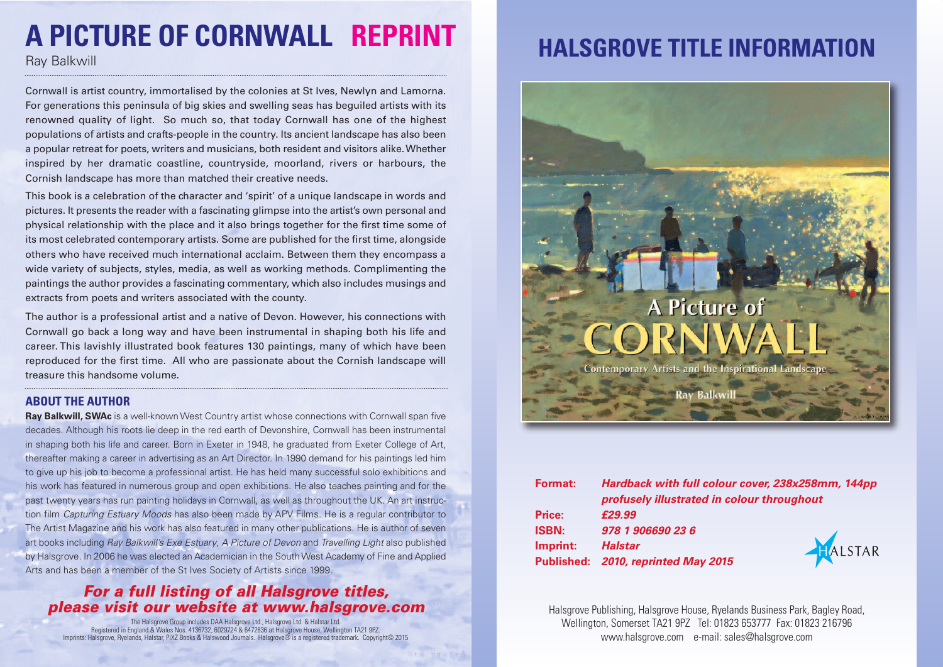# **A PICTURE OF CORNWALL REPRINT**

Cornwall is artist country, immortalised by the colonies at St Ives, Newlyn and Lamorna. For generations this peninsula of big skies and swelling seas has beguiled artists with its renowned quality of light. So much so, that today Cornwall has one of the highest populations of artists and crafts-people in the country. Its ancient landscape has also been a popular retreat for poets, writers and musicians, both resident and visitors alike.Whether inspired by her dramatic coastline, countryside, moorland, rivers or harbours, the Cornish landscape has more than matched their creative needs.

This book is a celebration of the character and 'spirit' of a unique landscape in words and pictures. It presents the reader with a fascinating glimpse into the artist's own personal and physical relationship with the place and it also brings together for the first time some of its most celebrated contemporary artists. Some are published for the first time, alongside others who have received much international acclaim. Between them they encompass a wide variety of subjects, styles, media, as well as working methods. Complimenting the paintings the author provides a fascinating commentary, which also includes musings and extracts from poets and writers associated with the county.

The author is a professional artist and a native of Devon. However, his connections with Cornwall go back a long way and have been instrumental in shaping both his life and career. This lavishly illustrated book features 130 paintings, many of which have been reproduced for the first time. All who are passionate about the Cornish landscape will treasure this handsome volume.

#### **ABOUT THE AUTHOR**

**Ray Balkwill, SWAc** is a well-known West Country artist whose connections with Cornwall span five decades. Although his roots lie deep in the red earth of Devonshire, Cornwall has been instrumental in shaping both his life and career. Born in Exeter in 1948, he graduated from Exeter College of Art, thereafter making a career in advertising as an Art Director. In 1990 demand for his paintings led him to give up his job to become a professional artist. He has held many successful solo exhibitions and his work has featured in numerous group and open exhibitions. He also teaches painting and for the past twenty years has run painting holidays in Cornwall, as well as throughout the UK. An art instruction film *Capturing Estuary Moods* has also been made by APV Films. He is a regular contributor to The Artist Magazine and his work has also featured in many other publications. He is author of seven art books including *Ray Balkwill's Exe Estuary*, *A Picture of Devon* and *Travelling Light* also published by Halsgrove. In 2006 he was elected an Academician in the SouthWest Academy of Fine and Applied Arts and has been a member of the St Ives Society of Artists since 1999.

#### *For a full listing of all Halsgrove titles, please visit our website at www.halsgrove.com*

The Halsgrove Group includes DAA Halsgrove Ltd., Halsgrove Ltd. & Halstar Ltd. Registered in England & Wales Nos. 4136732, 6029724 & 6472636 at Halsgrove House, Wellington TA21 9PZ. Imprints: Halsgrove, Ryelands, Halstar, PiXZ Books & Halswood Journals. Halsgrove® is a registered trademark. Copyright© 2015

## Ray Balkwill **HALSGROVE TITLE INFORMATION**



| Hardback with full colour cover, 238x258mm, 144pp<br>profusely illustrated in colour throughout |                                     |
|-------------------------------------------------------------------------------------------------|-------------------------------------|
| £29.99                                                                                          |                                     |
| 978 1 906690 23 6                                                                               |                                     |
| <b>Halstar</b>                                                                                  | ALSTAR                              |
|                                                                                                 |                                     |
|                                                                                                 | Published: 2010, reprinted May 2015 |

Halsgrove Publishing, Halsgrove House, Ryelands Business Park, Bagley Road, Wellington, Somerset TA21 9PZ Tel: 01823 653777 Fax: 01823 216796 www.halsgrove.com e-mail: sales@halsgrove.com